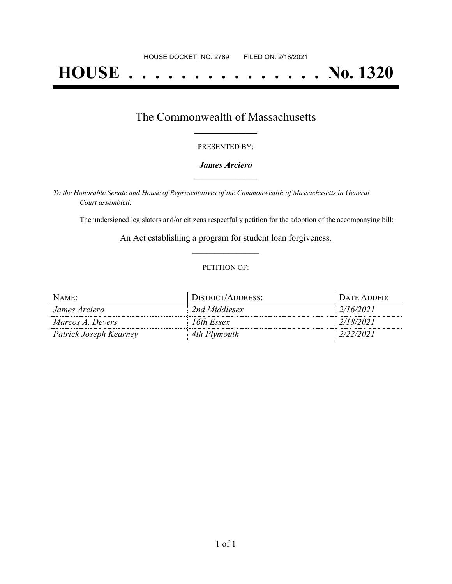# **HOUSE . . . . . . . . . . . . . . . No. 1320**

### The Commonwealth of Massachusetts **\_\_\_\_\_\_\_\_\_\_\_\_\_\_\_\_\_**

#### PRESENTED BY:

#### *James Arciero* **\_\_\_\_\_\_\_\_\_\_\_\_\_\_\_\_\_**

*To the Honorable Senate and House of Representatives of the Commonwealth of Massachusetts in General Court assembled:*

The undersigned legislators and/or citizens respectfully petition for the adoption of the accompanying bill:

An Act establishing a program for student loan forgiveness. **\_\_\_\_\_\_\_\_\_\_\_\_\_\_\_**

#### PETITION OF:

| NAME:                  | DISTRICT/ADDRESS: | . Date Added: |
|------------------------|-------------------|---------------|
| James Arciero          | 2nd Middlesex     | 2/16/2021     |
| Marcos A. Devers       | 16th Essex        | 2/18/2021     |
| Patrick Joseph Kearney | 4th Plymouth      | 2/22/2021     |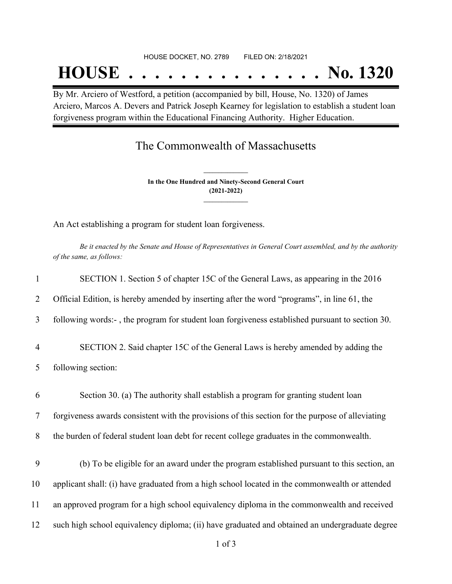#### HOUSE DOCKET, NO. 2789 FILED ON: 2/18/2021

## **HOUSE . . . . . . . . . . . . . . . No. 1320**

By Mr. Arciero of Westford, a petition (accompanied by bill, House, No. 1320) of James Arciero, Marcos A. Devers and Patrick Joseph Kearney for legislation to establish a student loan forgiveness program within the Educational Financing Authority. Higher Education.

## The Commonwealth of Massachusetts

**In the One Hundred and Ninety-Second General Court (2021-2022) \_\_\_\_\_\_\_\_\_\_\_\_\_\_\_**

**\_\_\_\_\_\_\_\_\_\_\_\_\_\_\_**

An Act establishing a program for student loan forgiveness.

Be it enacted by the Senate and House of Representatives in General Court assembled, and by the authority *of the same, as follows:*

| $\mathbf{1}$   | SECTION 1. Section 5 of chapter 15C of the General Laws, as appearing in the 2016                |
|----------------|--------------------------------------------------------------------------------------------------|
| $\overline{2}$ | Official Edition, is hereby amended by inserting after the word "programs", in line 61, the      |
| 3              | following words:-, the program for student loan forgiveness established pursuant to section 30.  |
| $\overline{4}$ | SECTION 2. Said chapter 15C of the General Laws is hereby amended by adding the                  |
| 5              | following section:                                                                               |
| 6              | Section 30. (a) The authority shall establish a program for granting student loan                |
| $\tau$         | forgiveness awards consistent with the provisions of this section for the purpose of alleviating |
| 8              | the burden of federal student loan debt for recent college graduates in the commonwealth.        |
| 9              | (b) To be eligible for an award under the program established pursuant to this section, an       |
| 10             | applicant shall: (i) have graduated from a high school located in the commonwealth or attended   |
| 11             | an approved program for a high school equivalency diploma in the commonwealth and received       |
| 12             | such high school equivalency diploma; (ii) have graduated and obtained an undergraduate degree   |
|                |                                                                                                  |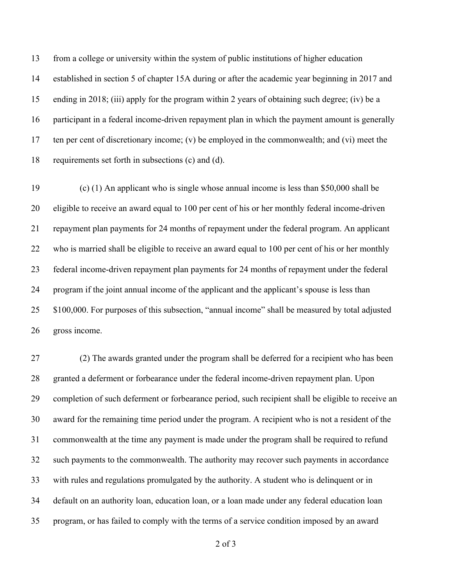from a college or university within the system of public institutions of higher education established in section 5 of chapter 15A during or after the academic year beginning in 2017 and ending in 2018; (iii) apply for the program within 2 years of obtaining such degree; (iv) be a participant in a federal income-driven repayment plan in which the payment amount is generally ten per cent of discretionary income; (v) be employed in the commonwealth; and (vi) meet the requirements set forth in subsections (c) and (d).

 (c) (1) An applicant who is single whose annual income is less than \$50,000 shall be eligible to receive an award equal to 100 per cent of his or her monthly federal income-driven repayment plan payments for 24 months of repayment under the federal program. An applicant 22 who is married shall be eligible to receive an award equal to 100 per cent of his or her monthly federal income-driven repayment plan payments for 24 months of repayment under the federal program if the joint annual income of the applicant and the applicant's spouse is less than \$100,000. For purposes of this subsection, "annual income" shall be measured by total adjusted gross income.

 (2) The awards granted under the program shall be deferred for a recipient who has been granted a deferment or forbearance under the federal income-driven repayment plan. Upon completion of such deferment or forbearance period, such recipient shall be eligible to receive an award for the remaining time period under the program. A recipient who is not a resident of the commonwealth at the time any payment is made under the program shall be required to refund such payments to the commonwealth. The authority may recover such payments in accordance with rules and regulations promulgated by the authority. A student who is delinquent or in default on an authority loan, education loan, or a loan made under any federal education loan program, or has failed to comply with the terms of a service condition imposed by an award

of 3